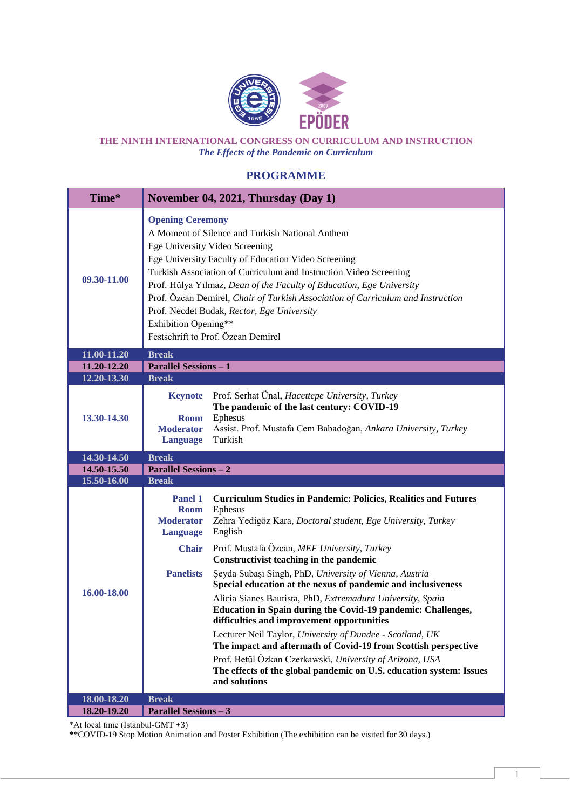

**THE NINTH INTERNATIONAL CONGRESS ON CURRICULUM AND INSTRUCTION** *The Effects of the Pandemic on Curriculum*

## **PROGRAMME**

| Time*                      |                                                                                                                                                                                                                                                                                                                                                                                                                                                                                                                 | November 04, 2021, Thursday (Day 1)                                                                                                                                                                                                                                                                                                                                                                                                                                                                                                    |  |
|----------------------------|-----------------------------------------------------------------------------------------------------------------------------------------------------------------------------------------------------------------------------------------------------------------------------------------------------------------------------------------------------------------------------------------------------------------------------------------------------------------------------------------------------------------|----------------------------------------------------------------------------------------------------------------------------------------------------------------------------------------------------------------------------------------------------------------------------------------------------------------------------------------------------------------------------------------------------------------------------------------------------------------------------------------------------------------------------------------|--|
| 09.30-11.00                | <b>Opening Ceremony</b><br>A Moment of Silence and Turkish National Anthem<br>Ege University Video Screening<br>Ege University Faculty of Education Video Screening<br>Turkish Association of Curriculum and Instruction Video Screening<br>Prof. Hülya Yılmaz, Dean of the Faculty of Education, Ege University<br>Prof. Özcan Demirel, Chair of Turkish Association of Curriculum and Instruction<br>Prof. Necdet Budak, Rector, Ege University<br>Exhibition Opening**<br>Festschrift to Prof. Özcan Demirel |                                                                                                                                                                                                                                                                                                                                                                                                                                                                                                                                        |  |
| 11.00-11.20                | <b>Break</b>                                                                                                                                                                                                                                                                                                                                                                                                                                                                                                    |                                                                                                                                                                                                                                                                                                                                                                                                                                                                                                                                        |  |
| 11.20-12.20                | <b>Parallel Sessions - 1</b>                                                                                                                                                                                                                                                                                                                                                                                                                                                                                    |                                                                                                                                                                                                                                                                                                                                                                                                                                                                                                                                        |  |
| 12.20-13.30<br>13.30-14.30 | <b>Break</b><br><b>Keynote</b><br><b>Room</b><br><b>Moderator</b><br><b>Language</b>                                                                                                                                                                                                                                                                                                                                                                                                                            | Prof. Serhat Ünal, Hacettepe University, Turkey<br>The pandemic of the last century: COVID-19<br>Ephesus<br>Assist. Prof. Mustafa Cem Babadoğan, Ankara University, Turkey<br>Turkish                                                                                                                                                                                                                                                                                                                                                  |  |
| 14.30-14.50                | <b>Break</b>                                                                                                                                                                                                                                                                                                                                                                                                                                                                                                    |                                                                                                                                                                                                                                                                                                                                                                                                                                                                                                                                        |  |
| 14.50-15.50                | <b>Parallel Sessions - 2</b>                                                                                                                                                                                                                                                                                                                                                                                                                                                                                    |                                                                                                                                                                                                                                                                                                                                                                                                                                                                                                                                        |  |
| 15.50-16.00                | <b>Break</b>                                                                                                                                                                                                                                                                                                                                                                                                                                                                                                    |                                                                                                                                                                                                                                                                                                                                                                                                                                                                                                                                        |  |
|                            | Panel 1<br><b>Room</b><br><b>Moderator</b>                                                                                                                                                                                                                                                                                                                                                                                                                                                                      | <b>Curriculum Studies in Pandemic: Policies, Realities and Futures</b><br>Ephesus<br>Zehra Yedigöz Kara, Doctoral student, Ege University, Turkey                                                                                                                                                                                                                                                                                                                                                                                      |  |
| 16.00-18.00                | <b>Language</b><br><b>Chair</b><br><b>Panelists</b>                                                                                                                                                                                                                                                                                                                                                                                                                                                             | English<br>Prof. Mustafa Özcan, MEF University, Turkey<br>Constructivist teaching in the pandemic<br>Şeyda Subaşı Singh, PhD, University of Vienna, Austria<br>Special education at the nexus of pandemic and inclusiveness<br>Alicia Sianes Bautista, PhD, Extremadura University, Spain<br>Education in Spain during the Covid-19 pandemic: Challenges,<br>difficulties and improvement opportunities<br>Lecturer Neil Taylor, University of Dundee - Scotland, UK<br>The impact and aftermath of Covid-19 from Scottish perspective |  |
| 18.00-18.20<br>18.20-19.20 | <b>Break</b>                                                                                                                                                                                                                                                                                                                                                                                                                                                                                                    | Prof. Betül Özkan Czerkawski, University of Arizona, USA<br>The effects of the global pandemic on U.S. education system: Issues<br>and solutions                                                                                                                                                                                                                                                                                                                                                                                       |  |

\*At local time (İstanbul-GMT +3)

**\*\***COVID-19 Stop Motion Animation and Poster Exhibition (The exhibition can be visited for 30 days.)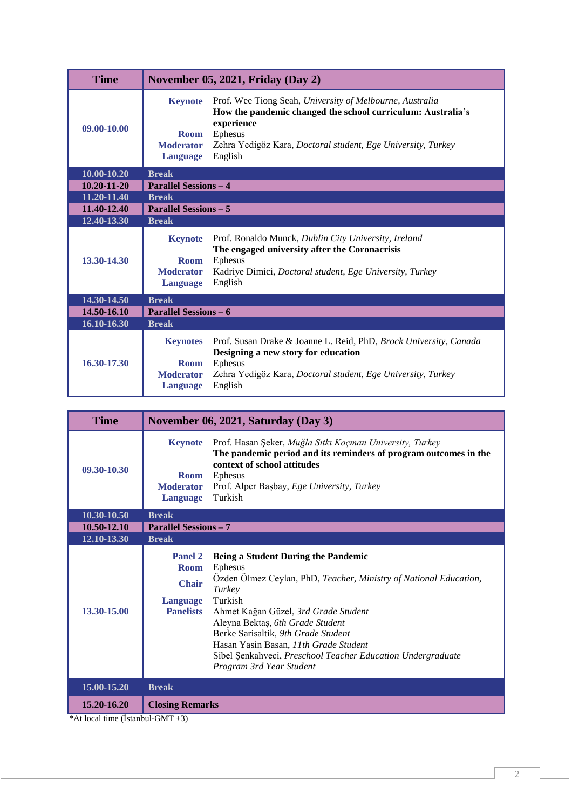| <b>Time</b>       | November 05, 2021, Friday (Day 2)                                                                                                                                                                                                                                                                   |  |  |
|-------------------|-----------------------------------------------------------------------------------------------------------------------------------------------------------------------------------------------------------------------------------------------------------------------------------------------------|--|--|
| 09.00-10.00       | <b>Keynote</b><br>Prof. Wee Tiong Seah, University of Melbourne, Australia<br>How the pandemic changed the school curriculum: Australia's<br>experience<br>Ephesus<br><b>Room</b><br>Zehra Yedigöz Kara, Doctoral student, Ege University, Turkey<br><b>Moderator</b><br>English<br><b>Language</b> |  |  |
| $10,00 - 10,20$   | <b>Break</b>                                                                                                                                                                                                                                                                                        |  |  |
| $10.20 - 11 - 20$ | <b>Parallel Sessions - 4</b>                                                                                                                                                                                                                                                                        |  |  |
| 11.20-11.40       | <b>Break</b>                                                                                                                                                                                                                                                                                        |  |  |
| 11.40-12.40       | <b>Parallel Sessions – 5</b>                                                                                                                                                                                                                                                                        |  |  |
| 12.40-13.30       | <b>Break</b>                                                                                                                                                                                                                                                                                        |  |  |
| 13.30-14.30       | Prof. Ronaldo Munck, Dublin City University, Ireland<br><b>Keynote</b><br>The engaged university after the Coronacrisis<br>Ephesus<br><b>Room</b><br><b>Moderator</b><br>Kadriye Dimici, <i>Doctoral student</i> , <i>Ege University</i> , <i>Turkey</i><br>English<br><b>Language</b>              |  |  |
| 14.30-14.50       | <b>Break</b>                                                                                                                                                                                                                                                                                        |  |  |
| 14.50-16.10       | <b>Parallel Sessions – 6</b>                                                                                                                                                                                                                                                                        |  |  |
| 16.10-16.30       | <b>Break</b>                                                                                                                                                                                                                                                                                        |  |  |
| 16.30-17.30       | Prof. Susan Drake & Joanne L. Reid, PhD, Brock University, Canada<br><b>Keynotes</b><br>Designing a new story for education<br><b>Ephesus</b><br><b>Room</b><br>Zehra Yedigöz Kara, Doctoral student, Ege University, Turkey<br><b>Moderator</b><br>English<br><b>Language</b>                      |  |  |

| <b>Time</b> | November 06, 2021, Saturday (Day 3)                                                                                                                                                                                                                                                                                                                                                                                                                                              |  |  |
|-------------|----------------------------------------------------------------------------------------------------------------------------------------------------------------------------------------------------------------------------------------------------------------------------------------------------------------------------------------------------------------------------------------------------------------------------------------------------------------------------------|--|--|
| 09.30-10.30 | Prof. Hasan Şeker, Muğla Sıtkı Koçman University, Turkey<br><b>Keynote</b><br>The pandemic period and its reminders of program outcomes in the<br>context of school attitudes<br>Ephesus<br><b>Room</b><br>Prof. Alper Başbay, Ege University, Turkey<br><b>Moderator</b><br>Turkish<br><b>Language</b>                                                                                                                                                                          |  |  |
| 10.30-10.50 | <b>Break</b>                                                                                                                                                                                                                                                                                                                                                                                                                                                                     |  |  |
| 10.50-12.10 | <b>Parallel Sessions - 7</b>                                                                                                                                                                                                                                                                                                                                                                                                                                                     |  |  |
| 12.10-13.30 | <b>Break</b>                                                                                                                                                                                                                                                                                                                                                                                                                                                                     |  |  |
| 13.30-15.00 | Being a Student During the Pandemic<br>Panel 2<br>Ephesus<br><b>Room</b><br>Özden Ölmez Ceylan, PhD, Teacher, Ministry of National Education,<br><b>Chair</b><br>Turkey<br>Turkish<br><b>Language</b><br><b>Panelists</b><br>Ahmet Kağan Güzel, 3rd Grade Student<br>Aleyna Bektaş, 6th Grade Student<br>Berke Sarisaltik, 9th Grade Student<br>Hasan Yasin Basan, 11th Grade Student<br>Sibel Şenkahveci, Preschool Teacher Education Undergraduate<br>Program 3rd Year Student |  |  |
| 15.00-15.20 | <b>Break</b>                                                                                                                                                                                                                                                                                                                                                                                                                                                                     |  |  |
| 15.20-16.20 | <b>Closing Remarks</b>                                                                                                                                                                                                                                                                                                                                                                                                                                                           |  |  |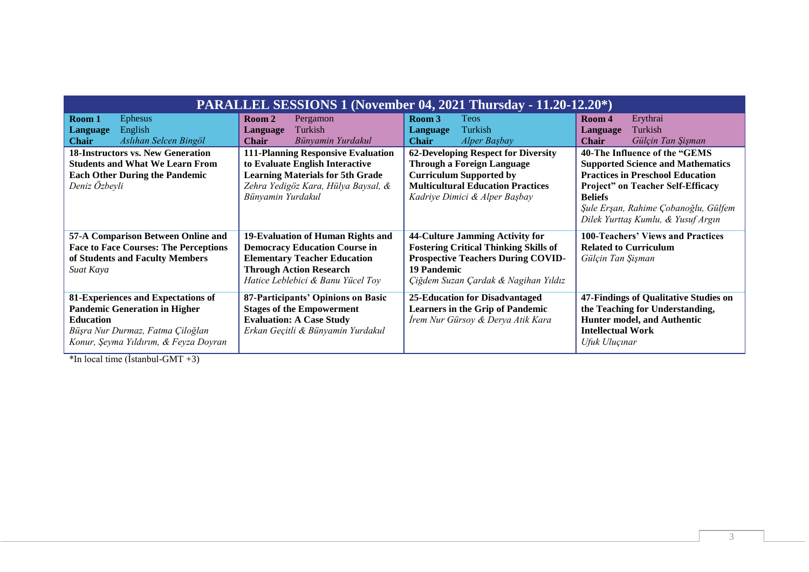| <b>PARALLEL SESSIONS 1 (November 04, 2021 Thursday - 11.20-12.20*)</b>                                                                                                      |                                                                                                                                                                                         |                                                                                                                                                                                                |                                                                                                                                                                                                                                                                  |
|-----------------------------------------------------------------------------------------------------------------------------------------------------------------------------|-----------------------------------------------------------------------------------------------------------------------------------------------------------------------------------------|------------------------------------------------------------------------------------------------------------------------------------------------------------------------------------------------|------------------------------------------------------------------------------------------------------------------------------------------------------------------------------------------------------------------------------------------------------------------|
| Room 1<br><b>Ephesus</b><br>English<br><b>Language</b><br>Aslıhan Selcen Bingöl<br><b>Chair</b>                                                                             | Room 2<br>Pergamon<br>Turkish<br><b>Language</b><br>Bünyamin Yurdakul<br><b>Chair</b>                                                                                                   | Room 3<br><b>Teos</b><br>Turkish<br>Language<br>Alper Başbay<br><b>Chair</b>                                                                                                                   | Erythrai<br>Room 4<br>Turkish<br>Language<br>Gülçin Tan Şişman<br><b>Chair</b>                                                                                                                                                                                   |
| <b>18-Instructors vs. New Generation</b><br><b>Students and What We Learn From</b><br><b>Each Other During the Pandemic</b><br>Deniz Özbeyli                                | <b>111-Planning Responsive Evaluation</b><br>to Evaluate English Interactive<br><b>Learning Materials for 5th Grade</b><br>Zehra Yedigöz Kara, Hülya Baysal, &<br>Bünyamin Yurdakul     | <b>62-Developing Respect for Diversity</b><br><b>Through a Foreign Language</b><br><b>Curriculum Supported by</b><br><b>Multicultural Education Practices</b><br>Kadriye Dimici & Alper Başbay | 40-The Influence of the "GEMS<br><b>Supported Science and Mathematics</b><br><b>Practices in Preschool Education</b><br><b>Project"</b> on Teacher Self-Efficacy<br><b>Beliefs</b><br>Şule Erşan, Rahime Çobanoğlu, Gülfem<br>Dilek Yurttaş Kumlu, & Yusuf Argın |
| 57-A Comparison Between Online and<br><b>Face to Face Courses: The Perceptions</b><br>of Students and Faculty Members<br>Suat Kaya                                          | 19-Evaluation of Human Rights and<br><b>Democracy Education Course in</b><br><b>Elementary Teacher Education</b><br><b>Through Action Research</b><br>Hatice Leblebici & Banu Yücel Toy | 44-Culture Jamming Activity for<br><b>Fostering Critical Thinking Skills of</b><br><b>Prospective Teachers During COVID-</b><br>19 Pandemic<br>Çiğdem Suzan Çardak & Nagihan Yıldız            | <b>100-Teachers' Views and Practices</b><br><b>Related to Curriculum</b><br>Gülçin Tan Şişman                                                                                                                                                                    |
| 81-Experiences and Expectations of<br><b>Pandemic Generation in Higher</b><br><b>Education</b><br>Büşra Nur Durmaz, Fatma Çiloğlan<br>Konur, Şeyma Yıldırım, & Feyza Doyran | 87-Participants' Opinions on Basic<br><b>Stages of the Empowerment</b><br><b>Evaluation: A Case Study</b><br>Erkan Geçitli & Bünyamin Yurdakul                                          | 25-Education for Disadvantaged<br><b>Learners in the Grip of Pandemic</b><br>İrem Nur Gürsoy & Derya Atik Kara                                                                                 | 47-Findings of Qualitative Studies on<br>the Teaching for Understanding,<br>Hunter model, and Authentic<br><b>Intellectual Work</b><br>Ufuk Uluçınar                                                                                                             |

 $\overline{\text{*In local time (İstanbul-GMT +3)}}$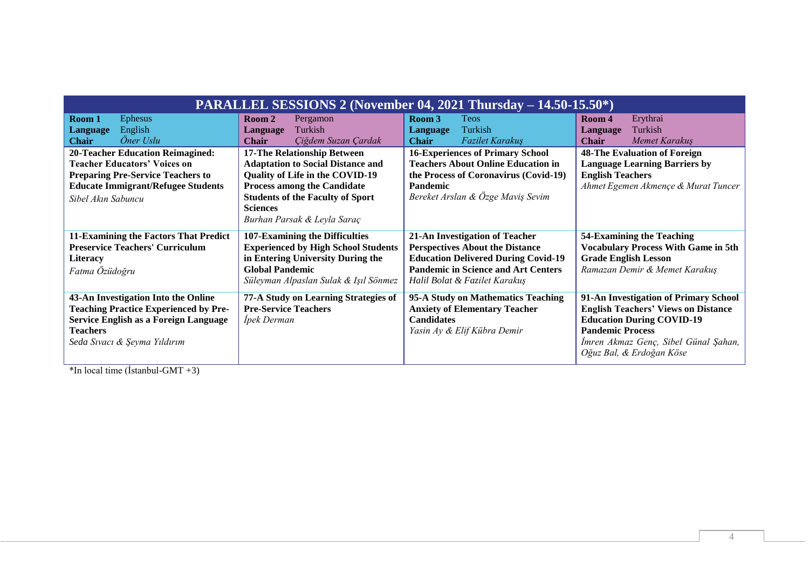| <b>PARALLEL SESSIONS 2 (November 04, 2021 Thursday <math>- 14.50 - 15.50^*</math>)</b>                                                                                                        |                                                                                                                                                                                                                                               |                                                                                                                                                                                                       |                                                                                                                                                                                                                        |
|-----------------------------------------------------------------------------------------------------------------------------------------------------------------------------------------------|-----------------------------------------------------------------------------------------------------------------------------------------------------------------------------------------------------------------------------------------------|-------------------------------------------------------------------------------------------------------------------------------------------------------------------------------------------------------|------------------------------------------------------------------------------------------------------------------------------------------------------------------------------------------------------------------------|
| Room 1<br><b>Ephesus</b><br>English<br><b>Language</b><br>Öner Uslu<br><b>Chair</b>                                                                                                           | Room 2<br>Pergamon<br>Turkish<br><b>Language</b><br>Çiğdem Suzan Çardak<br><b>Chair</b>                                                                                                                                                       | Room 3<br><b>Teos</b><br>Turkish<br>Language<br><b>Chair</b><br><i>Fazilet Karakuş</i>                                                                                                                | Erythrai<br>Room 4<br>Turkish<br>Language<br>Memet Karakuş<br>Chair                                                                                                                                                    |
| <b>20-Teacher Education Reimagined:</b><br><b>Teacher Educators' Voices on</b><br><b>Preparing Pre-Service Teachers to</b><br><b>Educate Immigrant/Refugee Students</b><br>Sibel Akın Sabuncu | 17-The Relationship Between<br><b>Adaptation to Social Distance and</b><br>Quality of Life in the COVID-19<br><b>Process among the Candidate</b><br><b>Students of the Faculty of Sport</b><br><b>Sciences</b><br>Burhan Parsak & Leyla Saraç | <b>16-Experiences of Primary School</b><br><b>Teachers About Online Education in</b><br>the Process of Coronavirus (Covid-19)<br><b>Pandemic</b><br>Bereket Arslan & Özge Maviş Sevim                 | <b>48-The Evaluation of Foreign</b><br><b>Language Learning Barriers by</b><br><b>English Teachers</b><br>Ahmet Egemen Akmençe & Murat Tuncer                                                                          |
| 11-Examining the Factors That Predict<br><b>Preservice Teachers' Curriculum</b><br><b>Literacy</b><br>Fatma Özüdoğru                                                                          | 107-Examining the Difficulties<br><b>Experienced by High School Students</b><br>in Entering University During the<br><b>Global Pandemic</b><br>Süleyman Alpaslan Sulak & Işıl Sönmez                                                          | 21-An Investigation of Teacher<br><b>Perspectives About the Distance</b><br><b>Education Delivered During Covid-19</b><br><b>Pandemic in Science and Art Centers</b><br>Halil Bolat & Fazilet Karakuş | 54-Examining the Teaching<br><b>Vocabulary Process With Game in 5th</b><br><b>Grade English Lesson</b><br>Ramazan Demir & Memet Karakuş                                                                                |
| 43-An Investigation Into the Online<br><b>Teaching Practice Experienced by Pre-</b><br>Service English as a Foreign Language<br><b>Teachers</b><br>Seda Sivaci & Şeyma Yıldırım               | 77-A Study on Learning Strategies of<br><b>Pre-Service Teachers</b><br>İpek Derman                                                                                                                                                            | 95-A Study on Mathematics Teaching<br><b>Anxiety of Elementary Teacher</b><br><b>Candidates</b><br>Yasin Ay & Elif Kübra Demir                                                                        | 91-An Investigation of Primary School<br><b>English Teachers' Views on Distance</b><br><b>Education During COVID-19</b><br><b>Pandemic Process</b><br>Imren Akmaz Genç, Sibel Günal Şahan,<br>Oğuz Bal, & Erdoğan Köse |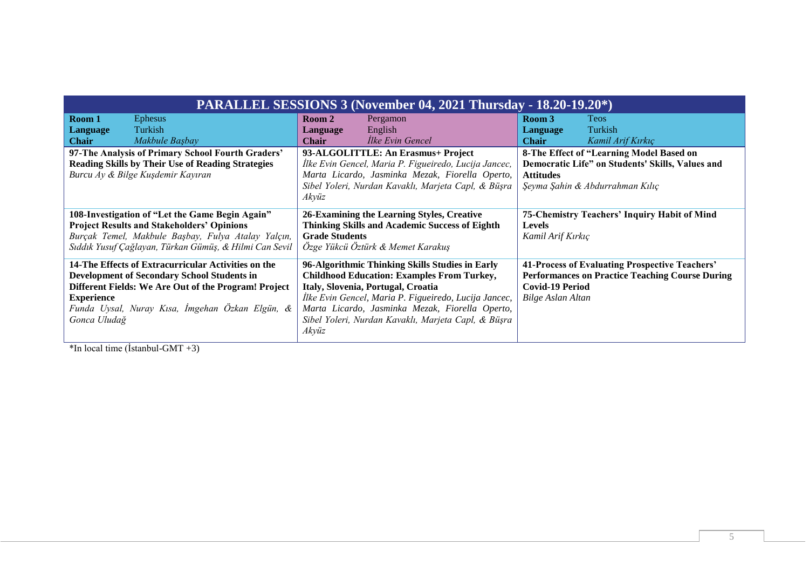| <b>PARALLEL SESSIONS 3 (November 04, 2021 Thursday - 18.20-19.20*)</b>                                                                                                                                                                                    |                                                                                                                                                                                                                                                                                                                        |                                                                                                                                                         |  |
|-----------------------------------------------------------------------------------------------------------------------------------------------------------------------------------------------------------------------------------------------------------|------------------------------------------------------------------------------------------------------------------------------------------------------------------------------------------------------------------------------------------------------------------------------------------------------------------------|---------------------------------------------------------------------------------------------------------------------------------------------------------|--|
| Room 1<br><b>Ephesus</b><br>Turkish<br>Language<br>Makbule Başbay<br><b>Chair</b>                                                                                                                                                                         | Pergamon<br>Room 2<br>English<br>Language<br>Ilke Evin Gencel<br><b>Chair</b>                                                                                                                                                                                                                                          | Room 3<br><b>Teos</b><br>Turkish<br><b>Language</b><br><b>Chair</b><br>Kamil Arif Kırkıç                                                                |  |
| 97-The Analysis of Primary School Fourth Graders'<br><b>Reading Skills by Their Use of Reading Strategies</b><br>Burcu Ay & Bilge Kuşdemir Kayıran                                                                                                        | 93-ALGOLITTLE: An Erasmus+ Project<br>İlke Evin Gencel, Maria P. Figueiredo, Lucija Jancec,<br>Marta Licardo, Jasminka Mezak, Fiorella Operto,<br>Sibel Yoleri, Nurdan Kavaklı, Marjeta Capl, & Büşra<br>Akvüz                                                                                                         | 8-The Effect of "Learning Model Based on<br>Democratic Life" on Students' Skills, Values and<br><b>Attitudes</b><br>Şeyma Şahin & Abdurrahman Kılıç     |  |
| 108-Investigation of "Let the Game Begin Again"<br><b>Project Results and Stakeholders' Opinions</b><br>Burçak Temel, Makbule Başbay, Fulya Atalay Yalçın,<br>Sıddık Yusuf Çağlayan, Türkan Gümüş, & Hilmi Can Sevil                                      | 26-Examining the Learning Styles, Creative<br><b>Thinking Skills and Academic Success of Eighth</b><br><b>Grade Students</b><br>Özge Yükcü Öztürk & Memet Karakuş                                                                                                                                                      | 75-Chemistry Teachers' Inquiry Habit of Mind<br><b>Levels</b><br>Kamil Arif Kırkıç                                                                      |  |
| 14-The Effects of Extracurricular Activities on the<br><b>Development of Secondary School Students in</b><br>Different Fields: We Are Out of the Program! Project<br><b>Experience</b><br>Funda Uysal, Nuray Kısa, İmgehan Özkan Elgün, &<br>Gonca Uludağ | 96-Algorithmic Thinking Skills Studies in Early<br><b>Childhood Education: Examples From Turkey,</b><br>Italy, Slovenia, Portugal, Croatia<br>İlke Evin Gencel, Maria P. Figueiredo, Lucija Jancec,<br>Marta Licardo, Jasminka Mezak, Fiorella Operto,<br>Sibel Yoleri, Nurdan Kavaklı, Marjeta Capl, & Büşra<br>Akvüz | 41-Process of Evaluating Prospective Teachers'<br><b>Performances on Practice Teaching Course During</b><br><b>Covid-19 Period</b><br>Bilge Aslan Altan |  |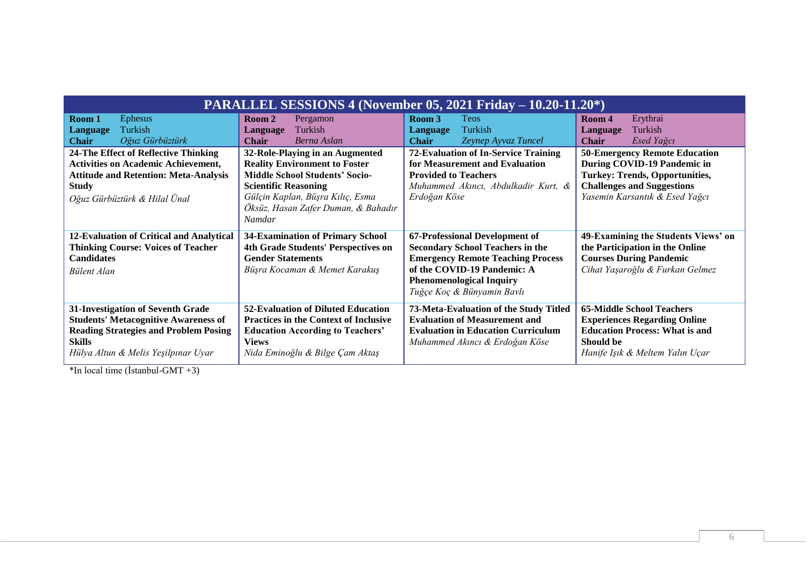| <b>PARALLEL SESSIONS 4 (November 05, 2021 Friday – 10.20-11.20*)</b>                                                                                                                     |                                                                                                                                                                                                                                      |                                                                                                                                                                                                                       |                                                                                                                                                                                     |
|------------------------------------------------------------------------------------------------------------------------------------------------------------------------------------------|--------------------------------------------------------------------------------------------------------------------------------------------------------------------------------------------------------------------------------------|-----------------------------------------------------------------------------------------------------------------------------------------------------------------------------------------------------------------------|-------------------------------------------------------------------------------------------------------------------------------------------------------------------------------------|
| Ephesus<br>Room 1<br>Turkish<br><b>Language</b><br>Oğuz Gürbüztürk<br><b>Chair</b>                                                                                                       | Pergamon<br>Room 2<br>Turkish<br>Language<br><b>Chair</b><br>Berna Aslan                                                                                                                                                             | Room 3<br><b>Teos</b><br>Turkish<br>Language<br><b>Chair</b><br>Zeynep Ayvaz Tuncel                                                                                                                                   | Erythrai<br>Room 4<br>Turkish<br>Language<br><b>Chair</b><br>Esed Yağcı                                                                                                             |
| 24-The Effect of Reflective Thinking<br><b>Activities on Academic Achievement,</b><br><b>Attitude and Retention: Meta-Analysis</b><br><b>Study</b><br>Oğuz Gürbüztürk & Hilal Ünal       | 32-Role-Playing in an Augmented<br><b>Reality Environment to Foster</b><br><b>Middle School Students' Socio-</b><br><b>Scientific Reasoning</b><br>Gülçin Kaplan, Büşra Kılıç, Esma<br>Öksüz, Hasan Zafer Duman, & Bahadır<br>Namdar | <b>72-Evaluation of In-Service Training</b><br>for Measurement and Evaluation<br><b>Provided to Teachers</b><br>Muhammed Akıncı, Abdulkadir Kurt, &<br>Erdoğan Köse                                                   | <b>50-Emergency Remote Education</b><br>During COVID-19 Pandemic in<br><b>Turkey: Trends, Opportunities,</b><br><b>Challenges and Suggestions</b><br>Yasemin Karsantık & Esed Yağcı |
| 12-Evaluation of Critical and Analytical<br><b>Thinking Course: Voices of Teacher</b><br><b>Candidates</b><br>Bülent Alan                                                                | <b>34-Examination of Primary School</b><br>4th Grade Students' Perspectives on<br><b>Gender Statements</b><br>Büşra Kocaman & Memet Karakuş                                                                                          | 67-Professional Development of<br><b>Secondary School Teachers in the</b><br><b>Emergency Remote Teaching Process</b><br>of the COVID-19 Pandemic: A<br><b>Phenomenological Inquiry</b><br>Tuğçe Koç & Bünyamin Bavlı | 49-Examining the Students Views' on<br>the Participation in the Online<br><b>Courses During Pandemic</b><br>Cihat Yaşaroğlu & Furkan Gelmez                                         |
| 31-Investigation of Seventh Grade<br><b>Students' Metacognitive Awareness of</b><br><b>Reading Strategies and Problem Posing</b><br><b>Skills</b><br>Hülya Altun & Melis Yeşilpınar Uyar | 52-Evaluation of Diluted Education<br><b>Practices in the Context of Inclusive</b><br><b>Education According to Teachers'</b><br><b>Views</b><br>Nida Eminoğlu & Bilge Çam Aktaş                                                     | 73-Meta-Evaluation of the Study Titled<br><b>Evaluation of Measurement and</b><br><b>Evaluation in Education Curriculum</b><br>Muhammed Akıncı & Erdoğan Köse                                                         | <b>65-Middle School Teachers</b><br><b>Experiences Regarding Online</b><br><b>Education Process: What is and</b><br>Should be<br>Hanife Işık & Meltem Yalın Uçar                    |

 $\overline{\text{*In local time (İstanbul-GMT +3)}}$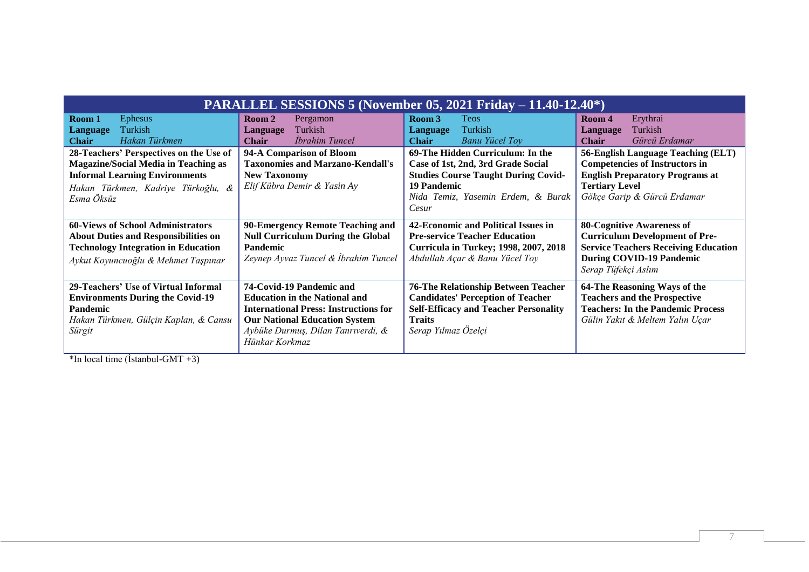| <b>PARALLEL SESSIONS 5 (November 05, 2021 Friday – 11.40-12.40*)</b>                                                                                                                |                                                                                                                                                                                                                  |                                                                                                                                                                                    |                                                                                                                                                                                    |
|-------------------------------------------------------------------------------------------------------------------------------------------------------------------------------------|------------------------------------------------------------------------------------------------------------------------------------------------------------------------------------------------------------------|------------------------------------------------------------------------------------------------------------------------------------------------------------------------------------|------------------------------------------------------------------------------------------------------------------------------------------------------------------------------------|
| <b>Ephesus</b><br>Room 1<br>Turkish<br><b>Language</b><br>Hakan Türkmen<br><b>Chair</b>                                                                                             | Room 2<br>Pergamon<br>Turkish<br>Language<br>İbrahim Tuncel<br><b>Chair</b>                                                                                                                                      | Room 3<br><b>Teos</b><br>Turkish<br>Language<br><b>Banu Yücel Toy</b><br><b>Chair</b>                                                                                              | Erythrai<br>Room 4<br>Turkish<br>Language<br>Gürcü Erdamar<br><b>Chair</b>                                                                                                         |
| 28-Teachers' Perspectives on the Use of<br><b>Magazine/Social Media in Teaching as</b><br><b>Informal Learning Environments</b><br>Hakan Türkmen, Kadriye Türkoğlu, &<br>Esma Öksüz | 94-A Comparison of Bloom<br><b>Taxonomies and Marzano-Kendall's</b><br><b>New Taxonomy</b><br>Elif Kübra Demir & Yasin Ay                                                                                        | 69-The Hidden Curriculum: In the<br>Case of 1st, 2nd, 3rd Grade Social<br><b>Studies Course Taught During Covid-</b><br>19 Pandemic<br>Nida Temiz, Yasemin Erdem, & Burak<br>Cesur | 56-English Language Teaching (ELT)<br><b>Competencies of Instructors in</b><br><b>English Preparatory Programs at</b><br><b>Tertiary Level</b><br>Gökçe Garip & Gürcü Erdamar      |
| <b>60-Views of School Administrators</b><br><b>About Duties and Responsibilities on</b><br><b>Technology Integration in Education</b><br>Aykut Koyuncuoğlu & Mehmet Taşpınar        | 90-Emergency Remote Teaching and<br><b>Null Curriculum During the Global</b><br><b>Pandemic</b><br>Zeynep Ayvaz Tuncel & İbrahim Tuncel                                                                          | 42-Economic and Political Issues in<br><b>Pre-service Teacher Education</b><br><b>Curricula in Turkey; 1998, 2007, 2018</b><br>Abdullah Açar & Banu Yücel Toy                      | <b>80-Cognitive Awareness of</b><br><b>Curriculum Development of Pre-</b><br><b>Service Teachers Receiving Education</b><br><b>During COVID-19 Pandemic</b><br>Serap Tüfekçi Aslım |
| 29-Teachers' Use of Virtual Informal<br><b>Environments During the Covid-19</b><br>Pandemic<br>Hakan Türkmen, Gülçin Kaplan, & Cansu<br>Sürgit                                      | 74-Covid-19 Pandemic and<br><b>Education in the National and</b><br><b>International Press: Instructions for</b><br><b>Our National Education System</b><br>Aybüke Durmuş, Dilan Tanrıverdi, &<br>Hünkar Korkmaz | <b>76-The Relationship Between Teacher</b><br><b>Candidates' Perception of Teacher</b><br><b>Self-Efficacy and Teacher Personality</b><br><b>Traits</b><br>Serap Yılmaz Özelçi     | 64-The Reasoning Ways of the<br><b>Teachers and the Prospective</b><br><b>Teachers: In the Pandemic Process</b><br>Gülin Yakıt & Meltem Yalın Uçar                                 |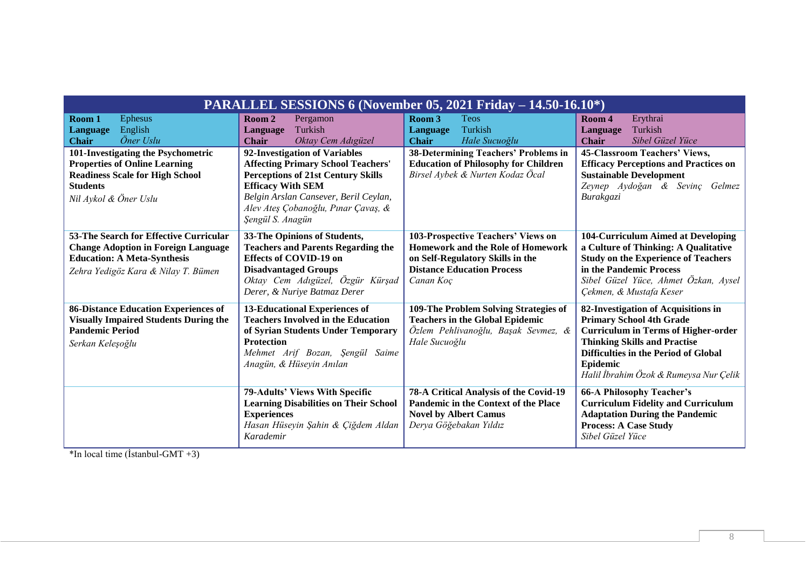| PARALLEL SESSIONS 6 (November 05, 2021 Friday – 14.50-16.10*)                                                                                                     |                                                                                                                                                                                                                                                         |                                                                                                                                                                      |                                                                                                                                                                                                                                                           |
|-------------------------------------------------------------------------------------------------------------------------------------------------------------------|---------------------------------------------------------------------------------------------------------------------------------------------------------------------------------------------------------------------------------------------------------|----------------------------------------------------------------------------------------------------------------------------------------------------------------------|-----------------------------------------------------------------------------------------------------------------------------------------------------------------------------------------------------------------------------------------------------------|
| <b>Ephesus</b><br>Room 1<br>English<br><b>Language</b><br>Öner Uslu<br><b>Chair</b>                                                                               | Room 2<br>Pergamon<br>Turkish<br>Language<br>Oktay Cem Adıgüzel<br><b>Chair</b>                                                                                                                                                                         | Room 3<br><b>Teos</b><br>Turkish<br>Language<br>Hale Sucuoğlu<br><b>Chair</b>                                                                                        | Erythrai<br>Room 4<br>Turkish<br>Language<br>Sibel Güzel Yüce<br><b>Chair</b>                                                                                                                                                                             |
| 101-Investigating the Psychometric<br><b>Properties of Online Learning</b><br><b>Readiness Scale for High School</b><br><b>Students</b><br>Nil Aykol & Öner Uslu  | 92-Investigation of Variables<br><b>Affecting Primary School Teachers'</b><br><b>Perceptions of 21st Century Skills</b><br><b>Efficacy With SEM</b><br>Belgin Arslan Cansever, Beril Ceylan,<br>Alev Ateş Çobanoğlu, Pınar Çavaş, &<br>Sengül S. Anagün | 38-Determining Teachers' Problems in<br><b>Education of Philosophy for Children</b><br>Birsel Aybek & Nurten Kodaz Öcal                                              | 45-Classroom Teachers' Views,<br><b>Efficacy Perceptions and Practices on</b><br><b>Sustainable Development</b><br>Zeynep Aydoğan & Sevinç Gelmez<br>Burakgazi                                                                                            |
| 53-The Search for Effective Curricular<br><b>Change Adoption in Foreign Language</b><br><b>Education: A Meta-Synthesis</b><br>Zehra Yedigöz Kara & Nilay T. Bümen | 33-The Opinions of Students,<br><b>Teachers and Parents Regarding the</b><br><b>Effects of COVID-19 on</b><br><b>Disadvantaged Groups</b><br>Oktay Cem Adıgüzel, Özgür Kürşad<br>Derer, & Nuriye Batmaz Derer                                           | 103-Prospective Teachers' Views on<br><b>Homework and the Role of Homework</b><br>on Self-Regulatory Skills in the<br><b>Distance Education Process</b><br>Canan Koç | 104-Curriculum Aimed at Developing<br>a Culture of Thinking: A Qualitative<br><b>Study on the Experience of Teachers</b><br>in the Pandemic Process<br>Sibel Güzel Yüce, Ahmet Özkan, Aysel<br>Çekmen, & Mustafa Keser                                    |
| <b>86-Distance Education Experiences of</b><br><b>Visually Impaired Students During the</b><br><b>Pandemic Period</b><br>Serkan Keleşoğlu                         | <b>13-Educational Experiences of</b><br><b>Teachers Involved in the Education</b><br>of Syrian Students Under Temporary<br><b>Protection</b><br>Mehmet Arif Bozan, Şengül<br>Saime<br>Anagün, & Hüseyin Anılan                                          | 109-The Problem Solving Strategies of<br><b>Teachers in the Global Epidemic</b><br>Özlem Pehlivanoğlu, Başak Sevmez, &<br>Hale Sucuoğlu                              | 82-Investigation of Acquisitions in<br><b>Primary School 4th Grade</b><br><b>Curriculum in Terms of Higher-order</b><br><b>Thinking Skills and Practise</b><br>Difficulties in the Period of Global<br>Epidemic<br>Halil İbrahim Özok & Rumeysa Nur Çelik |
|                                                                                                                                                                   | 79-Adults' Views With Specific<br><b>Learning Disabilities on Their School</b><br><b>Experiences</b><br>Hasan Hüseyin Şahin & Çiğdem Aldan<br>Karademir                                                                                                 | 78-A Critical Analysis of the Covid-19<br>Pandemic in the Context of the Place<br><b>Novel by Albert Camus</b><br>Derya Göğebakan Yıldız                             | 66-A Philosophy Teacher's<br><b>Curriculum Fidelity and Curriculum</b><br><b>Adaptation During the Pandemic</b><br><b>Process: A Case Study</b><br>Sibel Güzel Yüce                                                                                       |